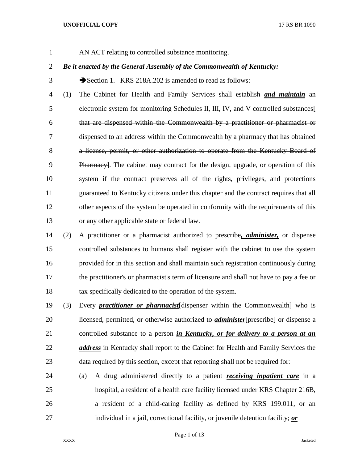AN ACT relating to controlled substance monitoring.

# *Be it enacted by the General Assembly of the Commonwealth of Kentucky:*

3 Section 1. KRS 218A.202 is amended to read as follows:

 (1) The Cabinet for Health and Family Services shall establish *and maintain* an electronic system for monitoring Schedules II, III, IV, and V controlled substances[ that are dispensed within the Commonwealth by a practitioner or pharmacist or dispensed to an address within the Commonwealth by a pharmacy that has obtained 8 a license, permit, or other authorization to operate from the Kentucky Board of Pharmacy]. The cabinet may contract for the design, upgrade, or operation of this system if the contract preserves all of the rights, privileges, and protections guaranteed to Kentucky citizens under this chapter and the contract requires that all other aspects of the system be operated in conformity with the requirements of this or any other applicable state or federal law.

 (2) A practitioner or a pharmacist authorized to prescribe*, administer,* or dispense controlled substances to humans shall register with the cabinet to use the system provided for in this section and shall maintain such registration continuously during the practitioner's or pharmacist's term of licensure and shall not have to pay a fee or tax specifically dedicated to the operation of the system.

- (3) Every *practitioner or pharmacist*[dispenser within the Commonwealth] who is licensed, permitted, or otherwise authorized to *administer*[prescribe] or dispense a controlled substance to a person *in Kentucky, or for delivery to a person at an address* in Kentucky shall report to the Cabinet for Health and Family Services the 23 data required by this section, except that reporting shall not be required for:
- (a) A drug administered directly to a patient *receiving inpatient care* in a hospital, a resident of a health care facility licensed under KRS Chapter 216B, a resident of a child-caring facility as defined by KRS 199.011, or an individual in a jail, correctional facility, or juvenile detention facility; *or*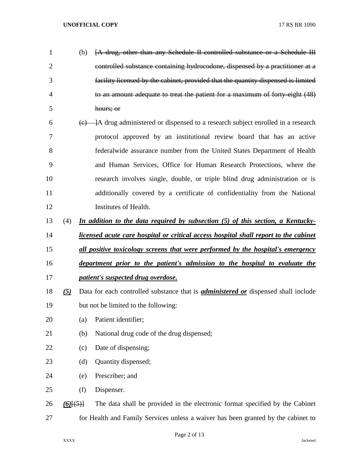- (b) [A drug, other than any Schedule II controlled substance or a Schedule III controlled substance containing hydrocodone, dispensed by a practitioner at a facility licensed by the cabinet, provided that the quantity dispensed is limited to an amount adequate to treat the patient for a maximum of forty-eight (48) hours; or
- $6 \left( \frac{c}{\epsilon} \right)$  | A drug administered or dispensed to a research subject enrolled in a research protocol approved by an institutional review board that has an active federalwide assurance number from the United States Department of Health and Human Services, Office for Human Research Protections, where the research involves single, double, or triple blind drug administration or is additionally covered by a certificate of confidentiality from the National Institutes of Health.
- (4) *In addition to the data required by subsection (5) of this section, a Kentucky-*
- *licensed acute care hospital or critical access hospital shall report to the cabinet*
- *all positive toxicology screens that were performed by the hospital's emergency*
- *department prior to the patient's admission to the hospital to evaluate the patient's suspected drug overdose.*
- *(5)* Data for each controlled substance that is *administered or* dispensed shall include
- but not be limited to the following:
- (a) Patient identifier;
- (b) National drug code of the drug dispensed;
- 22 (c) Date of dispensing;
- (d) Quantity dispensed;
- (e) Prescriber; and
- (f) Dispenser.

 *(6)*[(5)] The data shall be provided in the electronic format specified by the Cabinet for Health and Family Services unless a waiver has been granted by the cabinet to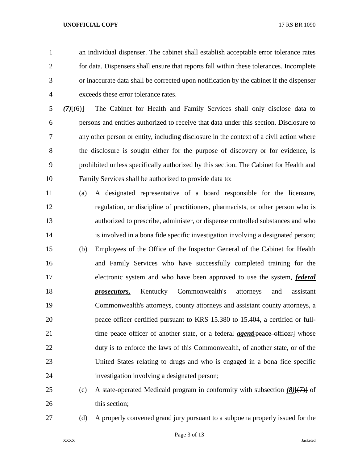an individual dispenser. The cabinet shall establish acceptable error tolerance rates for data. Dispensers shall ensure that reports fall within these tolerances. Incomplete or inaccurate data shall be corrected upon notification by the cabinet if the dispenser exceeds these error tolerance rates.

 *(7)*[(6)] The Cabinet for Health and Family Services shall only disclose data to persons and entities authorized to receive that data under this section. Disclosure to any other person or entity, including disclosure in the context of a civil action where the disclosure is sought either for the purpose of discovery or for evidence, is prohibited unless specifically authorized by this section. The Cabinet for Health and Family Services shall be authorized to provide data to:

- (a) A designated representative of a board responsible for the licensure, regulation, or discipline of practitioners, pharmacists, or other person who is authorized to prescribe, administer, or dispense controlled substances and who is involved in a bona fide specific investigation involving a designated person; (b) Employees of the Office of the Inspector General of the Cabinet for Health and Family Services who have successfully completed training for the electronic system and who have been approved to use the system, *federal prosecutors,* Kentucky Commonwealth's attorneys and assistant Commonwealth's attorneys, county attorneys and assistant county attorneys, a peace officer certified pursuant to KRS 15.380 to 15.404, a certified or full-21 time peace officer of another state, or a federal *agent*[peace officer] whose duty is to enforce the laws of this Commonwealth, of another state, or of the United States relating to drugs and who is engaged in a bona fide specific investigation involving a designated person;
- (c) A state-operated Medicaid program in conformity with subsection *(8)*[(7)] of 26 this section:
- 

(d) A properly convened grand jury pursuant to a subpoena properly issued for the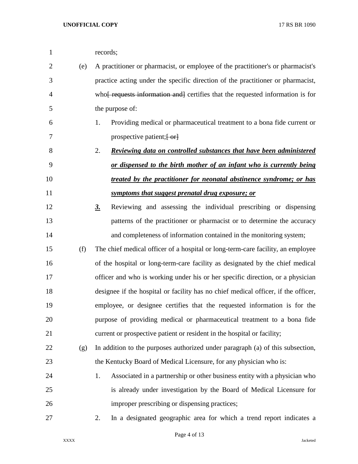| 1              |     | records;                                                                                 |
|----------------|-----|------------------------------------------------------------------------------------------|
| $\overline{2}$ | (e) | A practitioner or pharmacist, or employee of the practitioner's or pharmacist's          |
| 3              |     | practice acting under the specific direction of the practitioner or pharmacist,          |
| $\overline{4}$ |     | who <del> requests information and</del> certifies that the requested information is for |
| 5              |     | the purpose of:                                                                          |
| 6              |     | Providing medical or pharmaceutical treatment to a bona fide current or<br>1.            |
| 7              |     | prospective patient; [-or]                                                               |
| 8              |     | 2.<br>Reviewing data on controlled substances that have been administered                |
| 9              |     | or dispensed to the birth mother of an infant who is currently being                     |
| 10             |     | treated by the practitioner for neonatal abstinence syndrome; or has                     |
| 11             |     | <u>symptoms that suggest prenatal drug exposure; or</u>                                  |
| 12             |     | Reviewing and assessing the individual prescribing or dispensing<br><u>3.</u>            |
| 13             |     | patterns of the practitioner or pharmacist or to determine the accuracy                  |
| 14             |     | and completeness of information contained in the monitoring system;                      |
| 15             | (f) | The chief medical officer of a hospital or long-term-care facility, an employee          |
| 16             |     | of the hospital or long-term-care facility as designated by the chief medical            |
| 17             |     | officer and who is working under his or her specific direction, or a physician           |
| 18             |     | designee if the hospital or facility has no chief medical officer, if the officer,       |
| 19             |     | employee, or designee certifies that the requested information is for the                |
| 20             |     | purpose of providing medical or pharmaceutical treatment to a bona fide                  |
| 21             |     | current or prospective patient or resident in the hospital or facility;                  |
| 22             | (g) | In addition to the purposes authorized under paragraph (a) of this subsection,           |
| 23             |     | the Kentucky Board of Medical Licensure, for any physician who is:                       |
| 24             |     | Associated in a partnership or other business entity with a physician who<br>1.          |
| 25             |     | is already under investigation by the Board of Medical Licensure for                     |
| 26             |     | improper prescribing or dispensing practices;                                            |
| 27             |     | 2.<br>In a designated geographic area for which a trend report indicates a               |
|                |     |                                                                                          |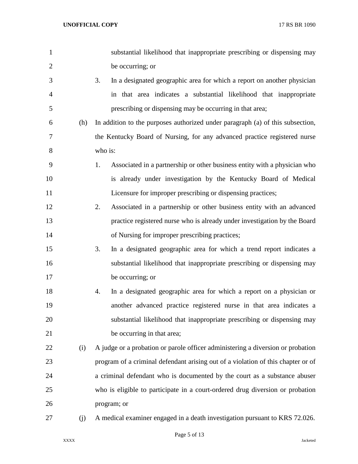| 1              |     | substantial likelihood that inappropriate prescribing or dispensing may          |
|----------------|-----|----------------------------------------------------------------------------------|
| $\overline{2}$ |     | be occurring; or                                                                 |
| 3              |     | 3.<br>In a designated geographic area for which a report on another physician    |
| $\overline{4}$ |     | in that area indicates a substantial likelihood that inappropriate               |
| 5              |     | prescribing or dispensing may be occurring in that area;                         |
| 6              | (h) | In addition to the purposes authorized under paragraph (a) of this subsection,   |
| 7              |     | the Kentucky Board of Nursing, for any advanced practice registered nurse        |
| 8              |     | who is:                                                                          |
| 9              |     | Associated in a partnership or other business entity with a physician who<br>1.  |
| 10             |     | is already under investigation by the Kentucky Board of Medical                  |
| 11             |     | Licensure for improper prescribing or dispensing practices;                      |
| 12             |     | Associated in a partnership or other business entity with an advanced<br>2.      |
| 13             |     | practice registered nurse who is already under investigation by the Board        |
| 14             |     | of Nursing for improper prescribing practices;                                   |
| 15             |     | In a designated geographic area for which a trend report indicates a<br>3.       |
| 16             |     | substantial likelihood that inappropriate prescribing or dispensing may          |
| 17             |     | be occurring; or                                                                 |
| 18             |     | In a designated geographic area for which a report on a physician or<br>4.       |
| 19             |     | another advanced practice registered nurse in that area indicates a              |
| 20             |     | substantial likelihood that inappropriate prescribing or dispensing may          |
| 21             |     | be occurring in that area;                                                       |
| 22             | (i) | A judge or a probation or parole officer administering a diversion or probation  |
| 23             |     | program of a criminal defendant arising out of a violation of this chapter or of |
| 24             |     | a criminal defendant who is documented by the court as a substance abuser        |
| 25             |     | who is eligible to participate in a court-ordered drug diversion or probation    |
| 26             |     | program; or                                                                      |
| 27             | (j) | A medical examiner engaged in a death investigation pursuant to KRS 72.026.      |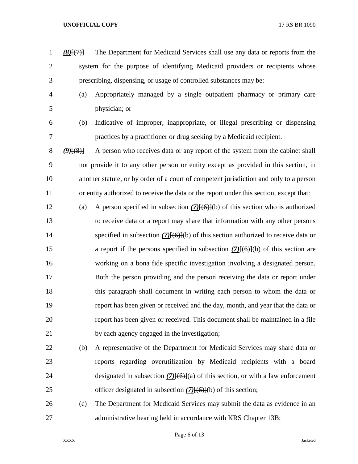- *(8)*[(7)] The Department for Medicaid Services shall use any data or reports from the system for the purpose of identifying Medicaid providers or recipients whose prescribing, dispensing, or usage of controlled substances may be:
- 

 (a) Appropriately managed by a single outpatient pharmacy or primary care physician; or

 (b) Indicative of improper, inappropriate, or illegal prescribing or dispensing practices by a practitioner or drug seeking by a Medicaid recipient.

 *(9)*[(8)] A person who receives data or any report of the system from the cabinet shall not provide it to any other person or entity except as provided in this section, in another statute, or by order of a court of competent jurisdiction and only to a person or entity authorized to receive the data or the report under this section, except that:

- (a) A person specified in subsection *(7)*[(6)](b) of this section who is authorized to receive data or a report may share that information with any other persons specified in subsection *(7)*[(6)](b) of this section authorized to receive data or a report if the persons specified in subsection *(7)*[(6)](b) of this section are working on a bona fide specific investigation involving a designated person. Both the person providing and the person receiving the data or report under this paragraph shall document in writing each person to whom the data or report has been given or received and the day, month, and year that the data or report has been given or received. This document shall be maintained in a file by each agency engaged in the investigation;
- (b) A representative of the Department for Medicaid Services may share data or reports regarding overutilization by Medicaid recipients with a board designated in subsection *(7)*[(6)](a) of this section, or with a law enforcement officer designated in subsection *(7)*[(6)](b) of this section;
- (c) The Department for Medicaid Services may submit the data as evidence in an 27 administrative hearing held in accordance with KRS Chapter 13B;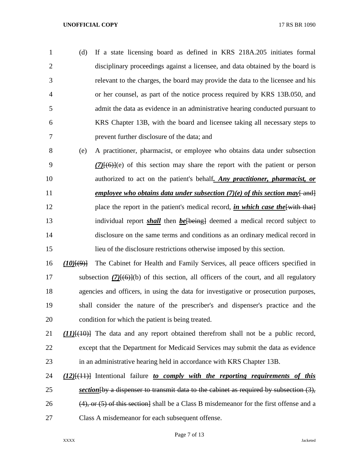(d) If a state licensing board as defined in KRS 218A.205 initiates formal disciplinary proceedings against a licensee, and data obtained by the board is relevant to the charges, the board may provide the data to the licensee and his or her counsel, as part of the notice process required by KRS 13B.050, and admit the data as evidence in an administrative hearing conducted pursuant to KRS Chapter 13B, with the board and licensee taking all necessary steps to prevent further disclosure of the data; and

- (e) A practitioner, pharmacist, or employee who obtains data under subsection *(7)*[(6)](e) of this section may share the report with the patient or person authorized to act on the patient's behalf*. Any practitioner, pharmacist, or*  11 *employee who obtains data under subsection (7)(e) of this section may* $\frac{1}{\text{and}}$ 12 place the report in the patient's medical record, *in which case the*[with that] individual report *shall* then *be*[being] deemed a medical record subject to disclosure on the same terms and conditions as an ordinary medical record in lieu of the disclosure restrictions otherwise imposed by this section.
- *(10)*[(9)] The Cabinet for Health and Family Services, all peace officers specified in 17 subsection (7)<del>[(6)]</del>(b) of this section, all officers of the court, and all regulatory agencies and officers, in using the data for investigative or prosecution purposes, shall consider the nature of the prescriber's and dispenser's practice and the condition for which the patient is being treated.
- *(11)*[(10)] The data and any report obtained therefrom shall not be a public record, except that the Department for Medicaid Services may submit the data as evidence in an administrative hearing held in accordance with KRS Chapter 13B.
- *(12)*[(11)] Intentional failure *to comply with the reporting requirements of this section*[by a dispenser to transmit data to the cabinet as required by subsection (3), 26  $(4)$ , or  $(5)$  of this section shall be a Class B misdemeanor for the first offense and a Class A misdemeanor for each subsequent offense.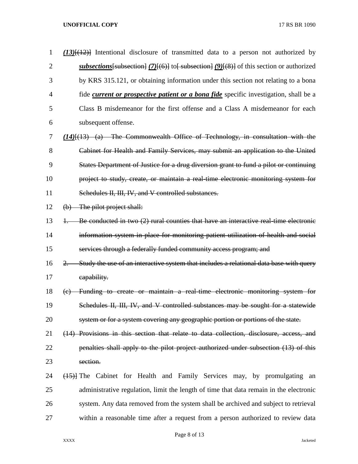| $\mathbf 1$    | $(13)$ [ $(12)$ ] Intentional disclosure of transmitted data to a person not authorized by            |
|----------------|-------------------------------------------------------------------------------------------------------|
| $\overline{2}$ | <u>subsections</u> [subsection] $(7)$ [(6)] to [subsection] $(9)$ [(8)] of this section or authorized |
| 3              | by KRS 315.121, or obtaining information under this section not relating to a bona                    |
| 4              | fide <i>current or prospective patient or a bona fide</i> specific investigation, shall be a          |
| 5              | Class B misdemeanor for the first offense and a Class A misdemeanor for each                          |
| 6              | subsequent offense.                                                                                   |
| 7              | $(14)$ $(13)$ (a) The Commonwealth Office of Technology, in consultation with the                     |
| 8              | Cabinet for Health and Family Services, may submit an application to the United                       |
| 9              | States Department of Justice for a drug diversion grant to fund a pilot or continuing                 |
| 10             | project to study, create, or maintain a real time electronic monitoring system for                    |
| 11             | Schedules II, III, IV, and V controlled substances.                                                   |
| 12             | $(b)$ The pilot project shall:                                                                        |
| 13             | Be conducted in two (2) rural counties that have an interactive real time electronic<br>$+$           |
| 14             | information system in place for monitoring patient utilization of health and social                   |
| 15             | services through a federally funded community access program; and                                     |
| 16             | Study the use of an interactive system that includes a relational data base with query<br>$2 -$       |
| 17             | eapability.                                                                                           |
| 18             | Funding to create or maintain a real-time electronic monitoring system for<br>(e)                     |
| 19             | Schedules II, III, IV, and V controlled substances may be sought for a statewide                      |
| 20             | system or for a system covering any geographic portion or portions of the state.                      |
| 21             | (14) Provisions in this section that relate to data collection, disclosure, access, and               |
| 22             | penalties shall apply to the pilot project authorized under subsection (13) of this                   |
| 23             | section.                                                                                              |
| 24             | (15) The Cabinet for Health and Family Services may, by promulgating an                               |
| 25             | administrative regulation, limit the length of time that data remain in the electronic                |
| 26             | system. Any data removed from the system shall be archived and subject to retrieval                   |
| 27             | within a reasonable time after a request from a person authorized to review data                      |

Page 8 of 13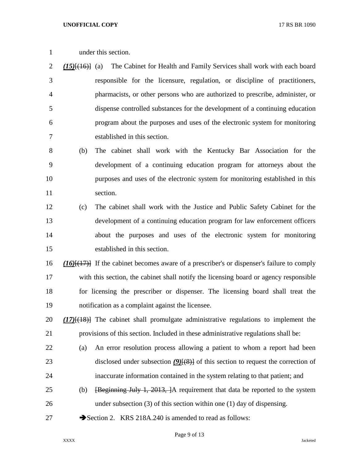under this section.

 *(15)*[(16)] (a) The Cabinet for Health and Family Services shall work with each board responsible for the licensure, regulation, or discipline of practitioners, pharmacists, or other persons who are authorized to prescribe, administer, or dispense controlled substances for the development of a continuing education program about the purposes and uses of the electronic system for monitoring established in this section.

 (b) The cabinet shall work with the Kentucky Bar Association for the development of a continuing education program for attorneys about the purposes and uses of the electronic system for monitoring established in this 11 section.

 (c) The cabinet shall work with the Justice and Public Safety Cabinet for the development of a continuing education program for law enforcement officers about the purposes and uses of the electronic system for monitoring established in this section.

 *(16)*[(17)] If the cabinet becomes aware of a prescriber's or dispenser's failure to comply with this section, the cabinet shall notify the licensing board or agency responsible for licensing the prescriber or dispenser. The licensing board shall treat the notification as a complaint against the licensee.

 *(17)*[(18)] The cabinet shall promulgate administrative regulations to implement the provisions of this section. Included in these administrative regulations shall be:

- (a) An error resolution process allowing a patient to whom a report had been 23 disclosed under subsection *(9)*[(8)] of this section to request the correction of inaccurate information contained in the system relating to that patient; and
- (b) [Beginning July 1, 2013, ]A requirement that data be reported to the system under subsection (3) of this section within one (1) day of dispensing.
- 27 Section 2. KRS 218A.240 is amended to read as follows: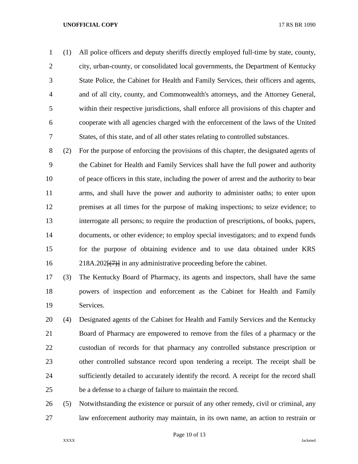(1) All police officers and deputy sheriffs directly employed full-time by state, county, city, urban-county, or consolidated local governments, the Department of Kentucky State Police, the Cabinet for Health and Family Services, their officers and agents, and of all city, county, and Commonwealth's attorneys, and the Attorney General, within their respective jurisdictions, shall enforce all provisions of this chapter and cooperate with all agencies charged with the enforcement of the laws of the United States, of this state, and of all other states relating to controlled substances.

 (2) For the purpose of enforcing the provisions of this chapter, the designated agents of the Cabinet for Health and Family Services shall have the full power and authority of peace officers in this state, including the power of arrest and the authority to bear arms, and shall have the power and authority to administer oaths; to enter upon premises at all times for the purpose of making inspections; to seize evidence; to interrogate all persons; to require the production of prescriptions, of books, papers, documents, or other evidence; to employ special investigators; and to expend funds for the purpose of obtaining evidence and to use data obtained under KRS 16 218A.202<del>[(7)]</del> in any administrative proceeding before the cabinet.

 (3) The Kentucky Board of Pharmacy, its agents and inspectors, shall have the same powers of inspection and enforcement as the Cabinet for Health and Family Services.

 (4) Designated agents of the Cabinet for Health and Family Services and the Kentucky Board of Pharmacy are empowered to remove from the files of a pharmacy or the custodian of records for that pharmacy any controlled substance prescription or other controlled substance record upon tendering a receipt. The receipt shall be sufficiently detailed to accurately identify the record. A receipt for the record shall be a defense to a charge of failure to maintain the record.

 (5) Notwithstanding the existence or pursuit of any other remedy, civil or criminal, any law enforcement authority may maintain, in its own name, an action to restrain or

Page 10 of 13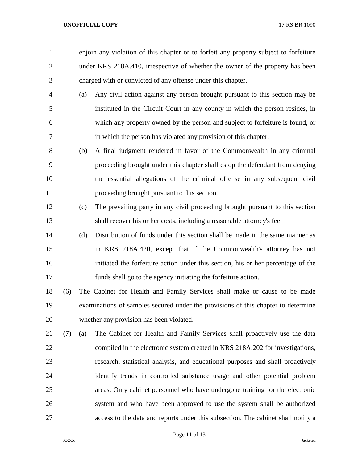enjoin any violation of this chapter or to forfeit any property subject to forfeiture under KRS 218A.410, irrespective of whether the owner of the property has been charged with or convicted of any offense under this chapter.

- (a) Any civil action against any person brought pursuant to this section may be instituted in the Circuit Court in any county in which the person resides, in which any property owned by the person and subject to forfeiture is found, or in which the person has violated any provision of this chapter.
- (b) A final judgment rendered in favor of the Commonwealth in any criminal proceeding brought under this chapter shall estop the defendant from denying the essential allegations of the criminal offense in any subsequent civil proceeding brought pursuant to this section.
- (c) The prevailing party in any civil proceeding brought pursuant to this section shall recover his or her costs, including a reasonable attorney's fee.
- (d) Distribution of funds under this section shall be made in the same manner as in KRS 218A.420, except that if the Commonwealth's attorney has not initiated the forfeiture action under this section, his or her percentage of the funds shall go to the agency initiating the forfeiture action.
- (6) The Cabinet for Health and Family Services shall make or cause to be made examinations of samples secured under the provisions of this chapter to determine whether any provision has been violated.
- (7) (a) The Cabinet for Health and Family Services shall proactively use the data compiled in the electronic system created in KRS 218A.202 for investigations, research, statistical analysis, and educational purposes and shall proactively identify trends in controlled substance usage and other potential problem areas. Only cabinet personnel who have undergone training for the electronic system and who have been approved to use the system shall be authorized access to the data and reports under this subsection. The cabinet shall notify a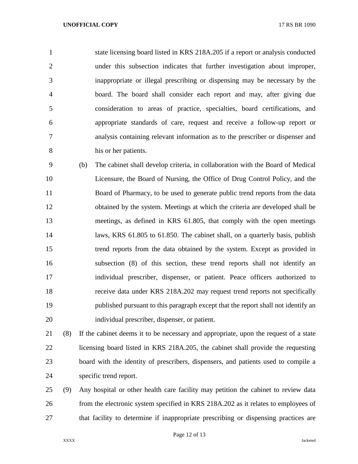state licensing board listed in KRS 218A.205 if a report or analysis conducted under this subsection indicates that further investigation about improper, inappropriate or illegal prescribing or dispensing may be necessary by the board. The board shall consider each report and may, after giving due consideration to areas of practice, specialties, board certifications, and appropriate standards of care, request and receive a follow-up report or analysis containing relevant information as to the prescriber or dispenser and his or her patients.

 (b) The cabinet shall develop criteria, in collaboration with the Board of Medical Licensure, the Board of Nursing, the Office of Drug Control Policy, and the Board of Pharmacy, to be used to generate public trend reports from the data obtained by the system. Meetings at which the criteria are developed shall be meetings, as defined in KRS 61.805, that comply with the open meetings laws, KRS 61.805 to 61.850. The cabinet shall, on a quarterly basis, publish trend reports from the data obtained by the system. Except as provided in subsection (8) of this section, these trend reports shall not identify an individual prescriber, dispenser, or patient. Peace officers authorized to receive data under KRS 218A.202 may request trend reports not specifically published pursuant to this paragraph except that the report shall not identify an individual prescriber, dispenser, or patient.

 (8) If the cabinet deems it to be necessary and appropriate, upon the request of a state licensing board listed in KRS 218A.205, the cabinet shall provide the requesting board with the identity of prescribers, dispensers, and patients used to compile a specific trend report.

 (9) Any hospital or other health care facility may petition the cabinet to review data from the electronic system specified in KRS 218A.202 as it relates to employees of that facility to determine if inappropriate prescribing or dispensing practices are

Page 12 of 13